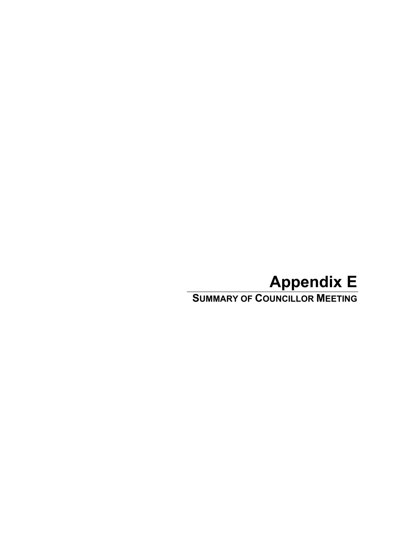# **Appendix E**

**SUMMARY OF COUNCILLOR MEETING**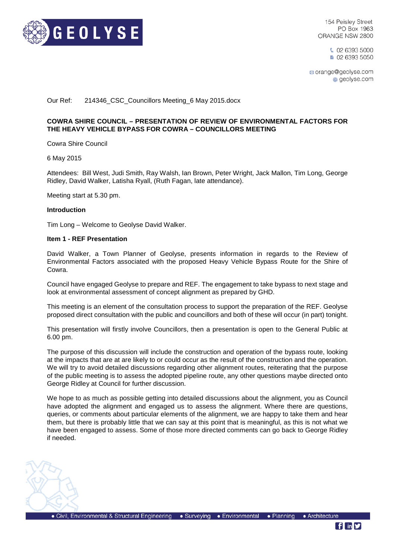

154 Peisley Street PO Box 1963 ORANGE NSW 2800

> € 02 6393 5000 ■ 02 6393 5050

⊠ orange@geolyse.com geolyse.com

# Our Ref: 214346\_CSC\_Councillors Meeting\_6 May 2015.docx

# **COWRA SHIRE COUNCIL – PRESENTATION OF REVIEW OF ENVIRONMENTAL FACTORS FOR THE HEAVY VEHICLE BYPASS FOR COWRA – COUNCILLORS MEETING**

Cowra Shire Council

6 May 2015

Attendees: Bill West, Judi Smith, Ray Walsh, Ian Brown, Peter Wright, Jack Mallon, Tim Long, George Ridley, David Walker, Latisha Ryall, (Ruth Fagan, late attendance).

Meeting start at 5.30 pm.

#### **Introduction**

Tim Long – Welcome to Geolyse David Walker.

#### **Item 1 - REF Presentation**

David Walker, a Town Planner of Geolyse, presents information in regards to the Review of Environmental Factors associated with the proposed Heavy Vehicle Bypass Route for the Shire of Cowra.

Council have engaged Geolyse to prepare and REF. The engagement to take bypass to next stage and look at environmental assessment of concept alignment as prepared by GHD.

This meeting is an element of the consultation process to support the preparation of the REF. Geolyse proposed direct consultation with the public and councillors and both of these will occur (in part) tonight.

This presentation will firstly involve Councillors, then a presentation is open to the General Public at 6.00 pm.

The purpose of this discussion will include the construction and operation of the bypass route, looking at the impacts that are at are likely to or could occur as the result of the construction and the operation. We will try to avoid detailed discussions regarding other alignment routes, reiterating that the purpose of the public meeting is to assess the adopted pipeline route, any other questions maybe directed onto George Ridley at Council for further discussion.

We hope to as much as possible getting into detailed discussions about the alignment, you as Council have adopted the alignment and engaged us to assess the alignment. Where there are questions, queries, or comments about particular elements of the alignment, we are happy to take them and hear them, but there is probably little that we can say at this point that is meaningful, as this is not what we have been engaged to assess. Some of those more directed comments can go back to George Ridley if needed.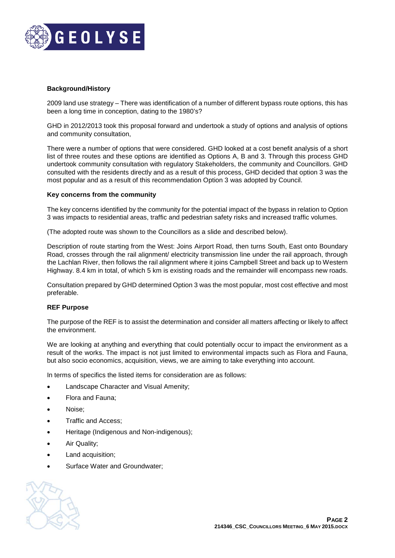

# **Background/History**

2009 land use strategy – There was identification of a number of different bypass route options, this has been a long time in conception, dating to the 1980's?

GHD in 2012/2013 took this proposal forward and undertook a study of options and analysis of options and community consultation,

There were a number of options that were considered. GHD looked at a cost benefit analysis of a short list of three routes and these options are identified as Options A, B and 3. Through this process GHD undertook community consultation with regulatory Stakeholders, the community and Councillors. GHD consulted with the residents directly and as a result of this process, GHD decided that option 3 was the most popular and as a result of this recommendation Option 3 was adopted by Council.

# **Key concerns from the community**

The key concerns identified by the community for the potential impact of the bypass in relation to Option 3 was impacts to residential areas, traffic and pedestrian safety risks and increased traffic volumes.

(The adopted route was shown to the Councillors as a slide and described below).

Description of route starting from the West: Joins Airport Road, then turns South, East onto Boundary Road, crosses through the rail alignment/ electricity transmission line under the rail approach, through the Lachlan River, then follows the rail alignment where it joins Campbell Street and back up to Western Highway. 8.4 km in total, of which 5 km is existing roads and the remainder will encompass new roads.

Consultation prepared by GHD determined Option 3 was the most popular, most cost effective and most preferable.

## **REF Purpose**

The purpose of the REF is to assist the determination and consider all matters affecting or likely to affect the environment.

We are looking at anything and everything that could potentially occur to impact the environment as a result of the works. The impact is not just limited to environmental impacts such as Flora and Fauna, but also socio economics, acquisition, views, we are aiming to take everything into account.

In terms of specifics the listed items for consideration are as follows:

- Landscape Character and Visual Amenity;
- Flora and Fauna;
- Noise;
- Traffic and Access;
- Heritage (Indigenous and Non-indigenous);
- Air Quality;
- Land acquisition;
- Surface Water and Groundwater;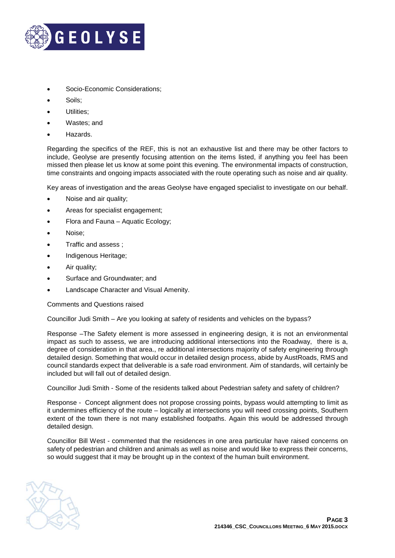

- Socio-Economic Considerations;
- Soils:
- Utilities:
- Wastes: and
- Hazards.

Regarding the specifics of the REF, this is not an exhaustive list and there may be other factors to include, Geolyse are presently focusing attention on the items listed, if anything you feel has been missed then please let us know at some point this evening. The environmental impacts of construction, time constraints and ongoing impacts associated with the route operating such as noise and air quality.

Key areas of investigation and the areas Geolyse have engaged specialist to investigate on our behalf.

- Noise and air quality;
- Areas for specialist engagement;
- Flora and Fauna Aquatic Ecology;
- Noise;
- Traffic and assess ;
- Indigenous Heritage;
- Air quality;
- Surface and Groundwater; and
- Landscape Character and Visual Amenity.

Comments and Questions raised

Councillor Judi Smith – Are you looking at safety of residents and vehicles on the bypass?

Response –The Safety element is more assessed in engineering design, it is not an environmental impact as such to assess, we are introducing additional intersections into the Roadway, there is a, degree of consideration in that area., re additional intersections majority of safety engineering through detailed design. Something that would occur in detailed design process, abide by AustRoads, RMS and council standards expect that deliverable is a safe road environment. Aim of standards, will certainly be included but will fall out of detailed design.

Councillor Judi Smith - Some of the residents talked about Pedestrian safety and safety of children?

Response - Concept alignment does not propose crossing points, bypass would attempting to limit as it undermines efficiency of the route – logically at intersections you will need crossing points, Southern extent of the town there is not many established footpaths. Again this would be addressed through detailed design.

Councillor Bill West - commented that the residences in one area particular have raised concerns on safety of pedestrian and children and animals as well as noise and would like to express their concerns, so would suggest that it may be brought up in the context of the human built environment.

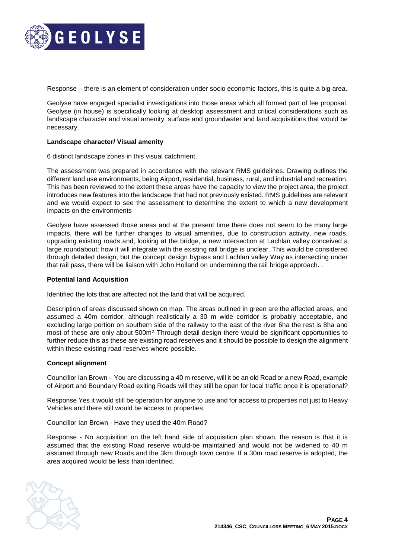

Response – there is an element of consideration under socio economic factors, this is quite a big area.

Geolyse have engaged specialist investigations into those areas which all formed part of fee proposal. Geolyse (in house) is specifically looking at desktop assessment and critical considerations such as landscape character and visual amenity, surface and groundwater and land acquisitions that would be necessary.

#### **Landscape character/ Visual amenity**

6 distinct landscape zones in this visual catchment.

The assessment was prepared in accordance with the relevant RMS guidelines. Drawing outlines the different land use environments, being Airport, residential, business, rural, and industrial and recreation. This has been reviewed to the extent these areas have the capacity to view the project area, the project introduces new features into the landscape that had not previously existed. RMS guidelines are relevant and we would expect to see the assessment to determine the extent to which a new development impacts on the environments

Geolyse have assessed those areas and at the present time there does not seem to be many large impacts, there will be further changes to visual amenities, due to construction activity, new roads, upgrading existing roads and, looking at the bridge, a new intersection at Lachlan valley conceived a large roundabout; how it will integrate with the existing rail bridge is unclear. This would be considered through detailed design, but the concept design bypass and Lachlan valley Way as intersecting under that rail pass, there will be liaison with John Holland on undermining the rail bridge approach. .

#### **Potential land Acquisition**

Identified the lots that are affected not the land that will be acquired.

Description of areas discussed shown on map. The areas outlined in green are the affected areas, and assumed a 40m corridor, although realistically a 30 m wide corridor is probably acceptable, and excluding large portion on southern side of the railway to the east of the river 6ha the rest is 8ha and most of these are only about 500m<sup>2.</sup> Through detail design there would be significant opportunities to further reduce this as these are existing road reserves and it should be possible to design the alignment within these existing road reserves where possible.

## **Concept alignment**

Councillor Ian Brown – You are discussing a 40 m reserve, will it be an old Road or a new Road, example of Airport and Boundary Road exiting Roads will they still be open for local traffic once it is operational?

Response Yes it would still be operation for anyone to use and for access to properties not just to Heavy Vehicles and there still would be access to properties.

Councillor Ian Brown - Have they used the 40m Road?

Response - No acquisition on the left hand side of acquisition plan shown, the reason is that it is assumed that the existing Road reserve would-be maintained and would not be widened to 40 m assumed through new Roads and the 3km through town centre. If a 30m road reserve is adopted, the area acquired would be less than identified.

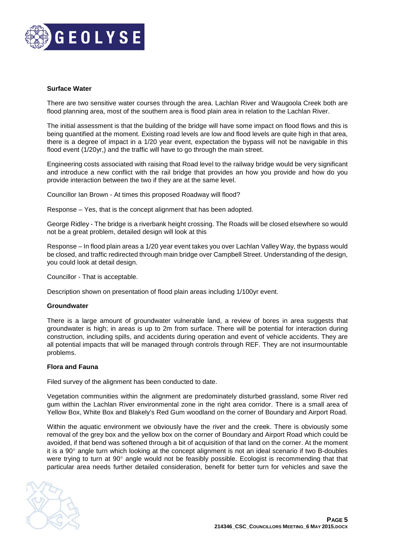

## **Surface Water**

There are two sensitive water courses through the area. Lachlan River and Waugoola Creek both are flood planning area, most of the southern area is flood plain area in relation to the Lachlan River.

The initial assessment is that the building of the bridge will have some impact on flood flows and this is being quantified at the moment. Existing road levels are low and flood levels are quite high in that area, there is a degree of impact in a 1/20 year event, expectation the bypass will not be navigable in this flood event (1/20yr,) and the traffic will have to go through the main street.

Engineering costs associated with raising that Road level to the railway bridge would be very significant and introduce a new conflict with the rail bridge that provides an how you provide and how do you provide interaction between the two if they are at the same level.

Councillor Ian Brown - At times this proposed Roadway will flood?

Response – Yes, that is the concept alignment that has been adopted.

George Ridley - The bridge is a riverbank height crossing. The Roads will be closed elsewhere so would not be a great problem, detailed design will look at this

Response – In flood plain areas a 1/20 year event takes you over Lachlan Valley Way, the bypass would be closed, and traffic redirected through main bridge over Campbell Street. Understanding of the design, you could look at detail design.

Councillor - That is acceptable.

Description shown on presentation of flood plain areas including 1/100yr event.

## **Groundwater**

There is a large amount of groundwater vulnerable land, a review of bores in area suggests that groundwater is high; in areas is up to 2m from surface. There will be potential for interaction during construction, including spills, and accidents during operation and event of vehicle accidents. They are all potential impacts that will be managed through controls through REF. They are not insurmountable problems.

## **Flora and Fauna**

Filed survey of the alignment has been conducted to date.

Vegetation communities within the alignment are predominately disturbed grassland, some River red gum within the Lachlan River environmental zone in the right area corridor. There is a small area of Yellow Box, White Box and Blakely's Red Gum woodland on the corner of Boundary and Airport Road.

Within the aquatic environment we obviously have the river and the creek. There is obviously some removal of the grey box and the yellow box on the corner of Boundary and Airport Road which could be avoided, if that bend was softened through a bit of acquisition of that land on the corner. At the moment it is a 90° angle turn which looking at the concept alignment is not an ideal scenario if two B-doubles were trying to turn at 90° angle would not be feasibly possible. Ecologist is recommending that that particular area needs further detailed consideration, benefit for better turn for vehicles and save the

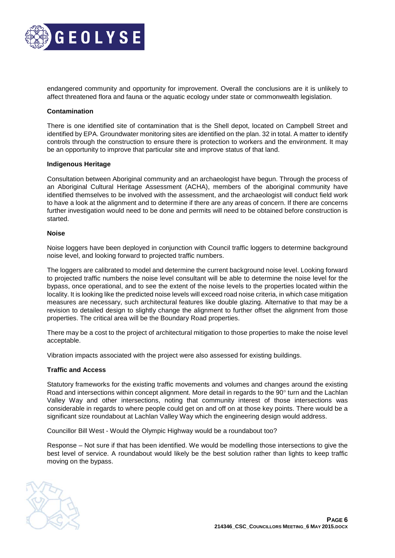

endangered community and opportunity for improvement. Overall the conclusions are it is unlikely to affect threatened flora and fauna or the aquatic ecology under state or commonwealth legislation.

## **Contamination**

There is one identified site of contamination that is the Shell depot, located on Campbell Street and identified by EPA. Groundwater monitoring sites are identified on the plan. 32 in total. A matter to identify controls through the construction to ensure there is protection to workers and the environment. It may be an opportunity to improve that particular site and improve status of that land.

## **Indigenous Heritage**

Consultation between Aboriginal community and an archaeologist have begun. Through the process of an Aboriginal Cultural Heritage Assessment (ACHA), members of the aboriginal community have identified themselves to be involved with the assessment, and the archaeologist will conduct field work to have a look at the alignment and to determine if there are any areas of concern. If there are concerns further investigation would need to be done and permits will need to be obtained before construction is started.

#### **Noise**

Noise loggers have been deployed in conjunction with Council traffic loggers to determine background noise level, and looking forward to projected traffic numbers.

The loggers are calibrated to model and determine the current background noise level. Looking forward to projected traffic numbers the noise level consultant will be able to determine the noise level for the bypass, once operational, and to see the extent of the noise levels to the properties located within the locality. It is looking like the predicted noise levels will exceed road noise criteria, in which case mitigation measures are necessary, such architectural features like double glazing. Alternative to that may be a revision to detailed design to slightly change the alignment to further offset the alignment from those properties. The critical area will be the Boundary Road properties.

There may be a cost to the project of architectural mitigation to those properties to make the noise level acceptable.

Vibration impacts associated with the project were also assessed for existing buildings.

## **Traffic and Access**

Statutory frameworks for the existing traffic movements and volumes and changes around the existing Road and intersections within concept alignment. More detail in regards to the 90° turn and the Lachlan Valley Way and other intersections, noting that community interest of those intersections was considerable in regards to where people could get on and off on at those key points. There would be a significant size roundabout at Lachlan Valley Way which the engineering design would address.

Councillor Bill West - Would the Olympic Highway would be a roundabout too?

Response – Not sure if that has been identified. We would be modelling those intersections to give the best level of service. A roundabout would likely be the best solution rather than lights to keep traffic moving on the bypass.

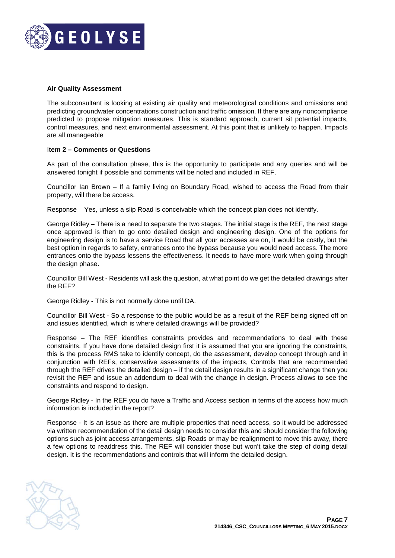

# **Air Quality Assessment**

The subconsultant is looking at existing air quality and meteorological conditions and omissions and predicting groundwater concentrations construction and traffic omission. If there are any noncompliance predicted to propose mitigation measures. This is standard approach, current sit potential impacts, control measures, and next environmental assessment. At this point that is unlikely to happen. Impacts are all manageable

# I**tem 2 – Comments or Questions**

As part of the consultation phase, this is the opportunity to participate and any queries and will be answered tonight if possible and comments will be noted and included in REF.

Councillor Ian Brown – If a family living on Boundary Road, wished to access the Road from their property, will there be access.

Response – Yes, unless a slip Road is conceivable which the concept plan does not identify.

George Ridley – There is a need to separate the two stages. The initial stage is the REF, the next stage once approved is then to go onto detailed design and engineering design. One of the options for engineering design is to have a service Road that all your accesses are on, it would be costly, but the best option in regards to safety, entrances onto the bypass because you would need access. The more entrances onto the bypass lessens the effectiveness. It needs to have more work when going through the design phase.

Councillor Bill West - Residents will ask the question, at what point do we get the detailed drawings after the REF?

George Ridley - This is not normally done until DA.

Councillor Bill West - So a response to the public would be as a result of the REF being signed off on and issues identified, which is where detailed drawings will be provided?

Response – The REF identifies constraints provides and recommendations to deal with these constraints. If you have done detailed design first it is assumed that you are ignoring the constraints, this is the process RMS take to identify concept, do the assessment, develop concept through and in conjunction with REFs, conservative assessments of the impacts, Controls that are recommended through the REF drives the detailed design – if the detail design results in a significant change then you revisit the REF and issue an addendum to deal with the change in design. Process allows to see the constraints and respond to design.

George Ridley - In the REF you do have a Traffic and Access section in terms of the access how much information is included in the report?

Response - It is an issue as there are multiple properties that need access, so it would be addressed via written recommendation of the detail design needs to consider this and should consider the following options such as joint access arrangements, slip Roads or may be realignment to move this away, there a few options to readdress this. The REF will consider those but won't take the step of doing detail design. It is the recommendations and controls that will inform the detailed design.

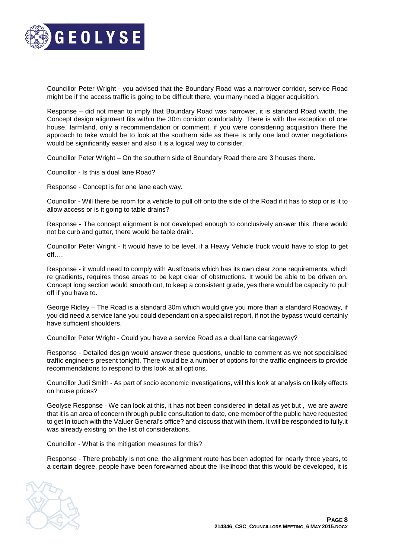

Councillor Peter Wright - you advised that the Boundary Road was a narrower corridor, service Road might be if the access traffic is going to be difficult there, you many need a bigger acquisition.

Response – did not mean to imply that Boundary Road was narrower, it is standard Road width, the Concept design alignment fits within the 30m corridor comfortably. There is with the exception of one house, farmland, only a recommendation or comment, if you were considering acquisition there the approach to take would be to look at the southern side as there is only one land owner negotiations would be significantly easier and also it is a logical way to consider.

Councillor Peter Wright – On the southern side of Boundary Road there are 3 houses there.

Councillor - Is this a dual lane Road?

Response - Concept is for one lane each way.

Councillor - Will there be room for a vehicle to pull off onto the side of the Road if it has to stop or is it to allow access or is it going to table drains?

Response - The concept alignment is not developed enough to conclusively answer this .there would not be curb and gutter, there would be table drain.

Councillor Peter Wright - It would have to be level, if a Heavy Vehicle truck would have to stop to get off….

Response - it would need to comply with AustRoads which has its own clear zone requirements, which re gradients, requires those areas to be kept clear of obstructions. It would be able to be driven on. Concept long section would smooth out, to keep a consistent grade, yes there would be capacity to pull off if you have to.

George Ridley – The Road is a standard 30m which would give you more than a standard Roadway, if you did need a service lane you could dependant on a specialist report, if not the bypass would certainly have sufficient shoulders.

Councillor Peter Wright - Could you have a service Road as a dual lane carriageway?

Response - Detailed design would answer these questions, unable to comment as we not specialised traffic engineers present tonight. There would be a number of options for the traffic engineers to provide recommendations to respond to this look at all options.

Councillor Judi Smith - As part of socio economic investigations, will this look at analysis on likely effects on house prices?

Geolyse Response - We can look at this, it has not been considered in detail as yet but , we are aware that it is an area of concern through public consultation to date, one member of the public have requested to get In touch with the Valuer General's office? and discuss that with them. It will be responded to fully.it was already existing on the list of considerations.

Councillor - What is the mitigation measures for this?

Response - There probably is not one, the alignment route has been adopted for nearly three years, to a certain degree, people have been forewarned about the likelihood that this would be developed, it is

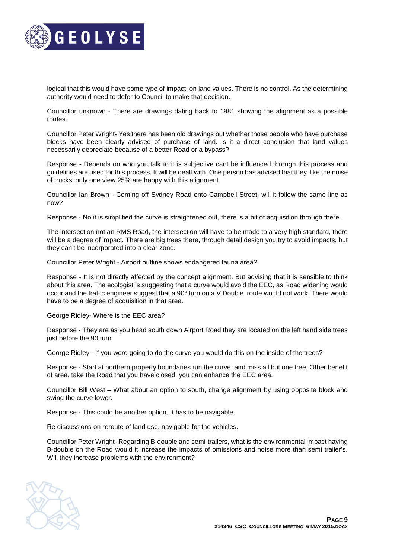

logical that this would have some type of impact on land values. There is no control. As the determining authority would need to defer to Council to make that decision.

Councillor unknown - There are drawings dating back to 1981 showing the alignment as a possible routes.

Councillor Peter Wright- Yes there has been old drawings but whether those people who have purchase blocks have been clearly advised of purchase of land. Is it a direct conclusion that land values necessarily depreciate because of a better Road or a bypass?

Response - Depends on who you talk to it is subjective cant be influenced through this process and guidelines are used for this process. It will be dealt with. One person has advised that they 'like the noise of trucks' only one view 25% are happy with this alignment.

Councillor Ian Brown - Coming off Sydney Road onto Campbell Street, will it follow the same line as now?

Response - No it is simplified the curve is straightened out, there is a bit of acquisition through there.

The intersection not an RMS Road, the intersection will have to be made to a very high standard, there will be a degree of impact. There are big trees there, through detail design you try to avoid impacts, but they can't be incorporated into a clear zone.

Councillor Peter Wright - Airport outline shows endangered fauna area?

Response - It is not directly affected by the concept alignment. But advising that it is sensible to think about this area. The ecologist is suggesting that a curve would avoid the EEC, as Road widening would occur and the traffic engineer suggest that a 90° turn on a V Double route would not work. There would have to be a degree of acquisition in that area.

George Ridley- Where is the EEC area?

Response - They are as you head south down Airport Road they are located on the left hand side trees just before the 90 turn.

George Ridley - If you were going to do the curve you would do this on the inside of the trees?

Response - Start at northern property boundaries run the curve, and miss all but one tree. Other benefit of area, take the Road that you have closed, you can enhance the EEC area.

Councillor Bill West – What about an option to south, change alignment by using opposite block and swing the curve lower.

Response - This could be another option. It has to be navigable.

Re discussions on reroute of land use, navigable for the vehicles.

Councillor Peter Wright- Regarding B-double and semi-trailers, what is the environmental impact having B-double on the Road would it increase the impacts of omissions and noise more than semi trailer's. Will they increase problems with the environment?

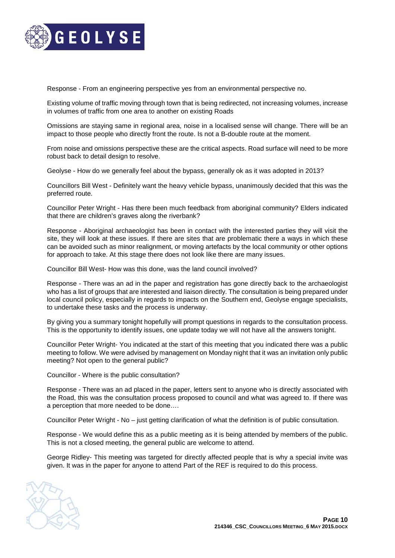

Response - From an engineering perspective yes from an environmental perspective no.

Existing volume of traffic moving through town that is being redirected, not increasing volumes, increase in volumes of traffic from one area to another on existing Roads

Omissions are staying same in regional area, noise in a localised sense will change. There will be an impact to those people who directly front the route. Is not a B-double route at the moment.

From noise and omissions perspective these are the critical aspects. Road surface will need to be more robust back to detail design to resolve.

Geolyse - How do we generally feel about the bypass, generally ok as it was adopted in 2013?

Councillors Bill West - Definitely want the heavy vehicle bypass, unanimously decided that this was the preferred route.

Councillor Peter Wright - Has there been much feedback from aboriginal community? Elders indicated that there are children's graves along the riverbank?

Response - Aboriginal archaeologist has been in contact with the interested parties they will visit the site, they will look at these issues. If there are sites that are problematic there a ways in which these can be avoided such as minor realignment, or moving artefacts by the local community or other options for approach to take. At this stage there does not look like there are many issues.

Councillor Bill West- How was this done, was the land council involved?

Response - There was an ad in the paper and registration has gone directly back to the archaeologist who has a list of groups that are interested and liaison directly. The consultation is being prepared under local council policy, especially in regards to impacts on the Southern end, Geolyse engage specialists, to undertake these tasks and the process is underway.

By giving you a summary tonight hopefully will prompt questions in regards to the consultation process. This is the opportunity to identify issues, one update today we will not have all the answers tonight.

Councillor Peter Wright- You indicated at the start of this meeting that you indicated there was a public meeting to follow. We were advised by management on Monday night that it was an invitation only public meeting? Not open to the general public?

Councillor - Where is the public consultation?

Response - There was an ad placed in the paper, letters sent to anyone who is directly associated with the Road, this was the consultation process proposed to council and what was agreed to. If there was a perception that more needed to be done….

Councillor Peter Wright - No – just getting clarification of what the definition is of public consultation.

Response - We would define this as a public meeting as it is being attended by members of the public. This is not a closed meeting, the general public are welcome to attend.

George Ridley- This meeting was targeted for directly affected people that is why a special invite was given. It was in the paper for anyone to attend Part of the REF is required to do this process.